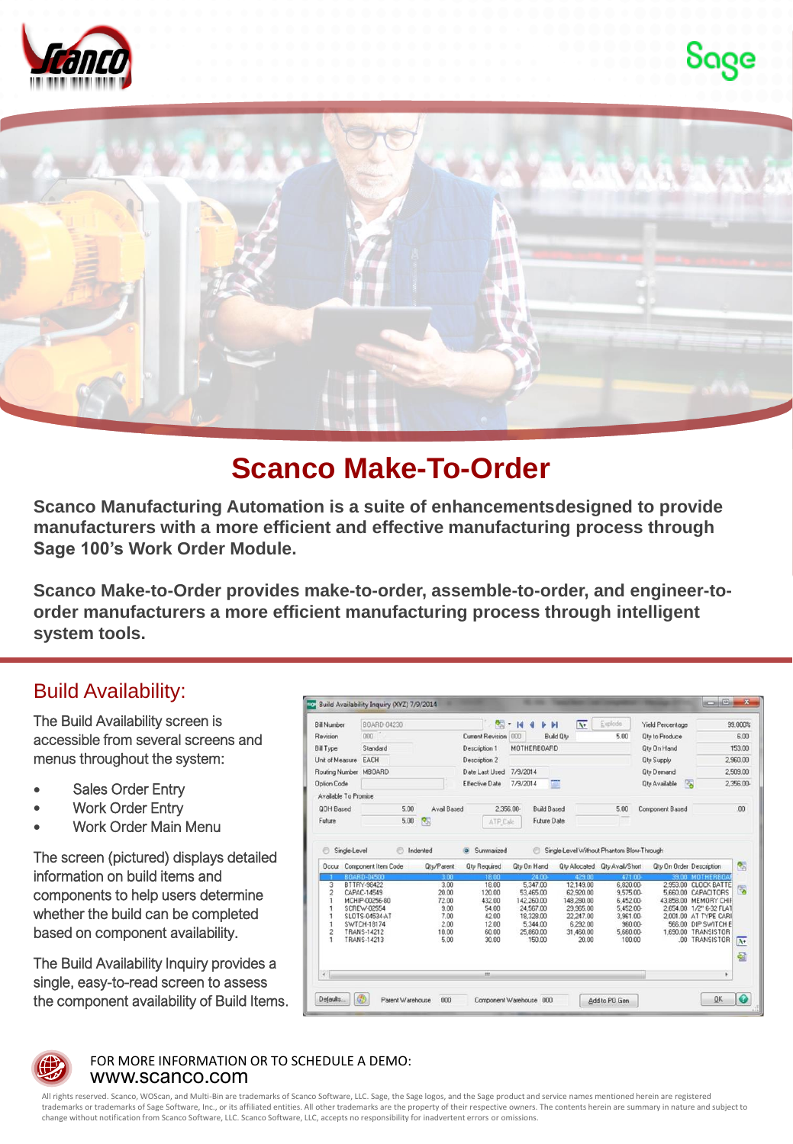





## **Scanco Make-To-Order**

**Scanco Manufacturing Automation is a suite of enhancementsdesigned to provide manufacturers with a more efficient and effective manufacturing process through Sage 100's Work Order Module.**

**Scanco Make-to-Order provides make-to-order, assemble-to-order, and engineer-toorder manufacturers a more efficient manufacturing process through intelligent system tools.**

### Build Availability:

The Build Availability screen is accessible from several screens and menus throughout the system:

- Sales Order Entry
- **Work Order Entry**
- Work Order Main Menu

The screen (pictured) displays detailed information on build items and components to help users determine whether the build can be completed based on component availability.

The Build Availability Inquiry provides a single, easy-to-read screen to assess the component availability of Build Items.

| <b>Bill Number</b>    | BOARD-04230                      |               | 闵                   | 14<br>$\blacksquare$  | $\overline{\mathbf{v}}$<br>M              | Explode                       | <b>Yield Percentage</b>   |                                             | 99.000%          |
|-----------------------|----------------------------------|---------------|---------------------|-----------------------|-------------------------------------------|-------------------------------|---------------------------|---------------------------------------------|------------------|
| Revision              | nnn.                             |               | Current Revision    | 000                   | <b>Build Oty</b>                          | 5.00                          | <b>Qty to Produce</b>     |                                             | 6.00             |
| <b>Bill Type</b>      | Standard                         |               | Description 1       | <b>MOTHERBOARD</b>    |                                           |                               | <b>Qty On Hand</b>        |                                             | 153.00           |
| Unit of Measure EACH  |                                  |               | Description 2       |                       |                                           |                               | <b>Qtv Supply</b>         |                                             | 2,960.00         |
| Routing Number MBOARD |                                  |               | Date Last Used      | 7/9/2014              |                                           |                               | <b>Qty Demand</b>         |                                             | 2,509.00         |
| <b>Option Code</b>    |                                  |               | Effective Date      | 7/9/2014              |                                           |                               | 医<br><b>Qty Available</b> |                                             | 2.356.00-        |
| Available To Promise  |                                  |               |                     |                       |                                           |                               |                           |                                             |                  |
| <b>QOH Based</b>      | 5.00                             | Avail Based   | 2.356.00-           | <b>Build Based</b>    |                                           | 5.00                          | Component Based           |                                             | .00              |
| Future                | 5.00                             | <b>RSI</b>    | ATP Calc            | <b>Future Date</b>    |                                           |                               |                           |                                             |                  |
| ℮<br>Single-Level     |                                  | Indented      | Summarized          | e                     | Single-Level Without Phantom Blow-Through |                               |                           |                                             |                  |
|                       | <b>Occur</b> Component Item Code | Qty/Parent    | <b>Qty Required</b> | <b>Qty On Hand</b>    |                                           | Oty Allocated Oty Avail/Short | Qty On Order Description  |                                             | 图                |
|                       | BOARD-04500                      | 300           | 18.00               | 24.00                 | 429.00                                    | 471.00-                       | 39.00                     | <b>MOTHERBOA</b>                            |                  |
| 3<br>$\overline{c}$   | BTTRY-98422<br>CAPAC-14549       | 3.00<br>20.00 | 18.00<br>120.00     | 5.347.00<br>53 465 00 | 12,149.00<br>62,920.00                    | 6.820.00-<br>9.575.00-        |                           | 2.953.00 CLOCK BATTE<br>5,660.00 CAPACITORS | 圈                |
|                       | MCHIP-00256-80                   | 72.00         | 432.00              | 142,260.00            | 148,280.00                                | 6.452.00-                     |                           | 43.858.00 MEMORY CHIF                       |                  |
|                       | SCREW-02554                      | 9.00          | 54.00               | 24.567.00             | 29.965.00                                 | 5.452.00-                     |                           | 2.654.00 1/2" 6-32 FLAT                     |                  |
|                       | SLOTS-04534-AT                   | 7.00          | 42.00               | 18,328.00             | 22 247 00                                 | 3.961.00-                     |                           | 2,001.00 AT TYPE CARL                       |                  |
| ٦                     | SWTCH-18174                      | 200           | 12.00               | 5,344.00              | 6,292.00                                  | 960.00-                       |                           | 566.00 DIP SWITCH E                         |                  |
| $\overline{2}$        | TRANS-14212<br>TRANS-14213       | 10.00<br>5.00 | 60.00<br>30.00      | 25,860.00<br>150.00   | 31,460.00<br>20.00                        | 5.660.00-<br>100.00           |                           | 1,690.00 TRANSISTOR<br>.00 TRANSISTOR       | $\overline{N^*}$ |
|                       |                                  |               |                     |                       |                                           |                               |                           |                                             | 쉽                |



#### www.scanco.com FOR MORE INFORMATION OR TO SCHEDULE A DEMO:

All rights reserved. Scanco, WOScan, and Multi-Bin are trademarks of Scanco Software, LLC. Sage, the Sage logos, and the Sage product and service names mentioned herein are registered trademarks or trademarks of Sage Software, Inc., or its affiliated entities. All other trademarks are the property of their respective owners. The contents herein are summary in nature and subject to change without notification from Scanco Software, LLC. Scanco Software, LLC, accepts no responsibility for inadvertent errors or omissions.